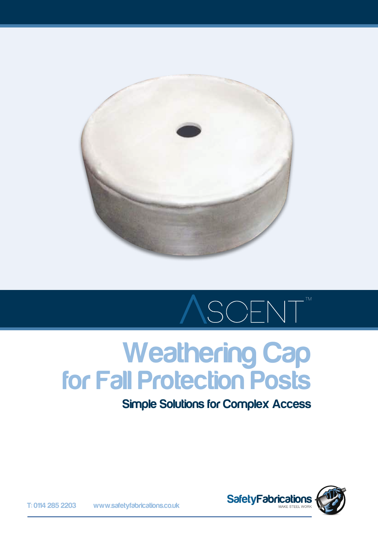

# SCENT

## Weathering Cap for Fall Protection Posts

Simple Solutions for Complex Access